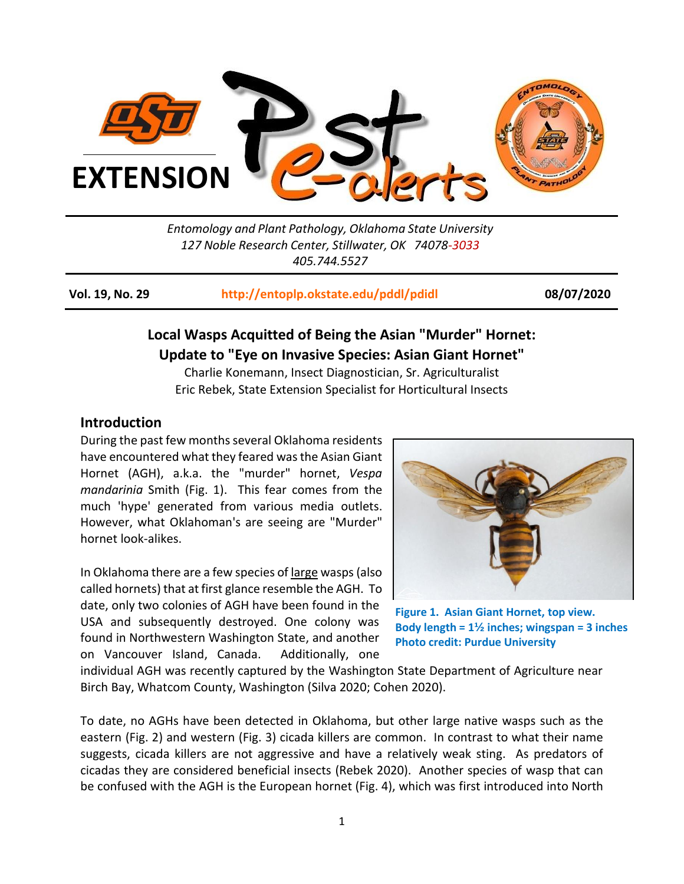

*Entomology and Plant Pathology, Oklahoma State University 127 Noble Research Center, Stillwater, OK 74078-3033 405.744.5527*

**Vol. 19, No. 29 <http://entoplp.okstate.edu/pddl/pdidl> 08/07/2020**

# **Local Wasps Acquitted of Being the Asian "Murder" Hornet: Update to "Eye on Invasive Species: Asian Giant Hornet"**

Charlie Konemann, Insect Diagnostician, Sr. Agriculturalist Eric Rebek, State Extension Specialist for Horticultural Insects

### **Introduction**

During the past few months several Oklahoma residents have encountered what they feared was the Asian Giant Hornet (AGH), a.k.a. the "murder" hornet, *Vespa mandarinia* Smith (Fig. 1). This fear comes from the much 'hype' generated from various media outlets. However, what Oklahoman's are seeing are "Murder" hornet look-alikes.

In Oklahoma there are a few species of large wasps(also called hornets) that at first glance resemble the AGH. To date, only two colonies of AGH have been found in the USA and subsequently destroyed. One colony was found in Northwestern Washington State, and another on Vancouver Island, Canada. Additionally, one



 **Figure 1. Asian Giant Hornet, top view. Body length = 1½ inches; wingspan = 3 inches Photo credit: Purdue University**

individual AGH was recently captured by the Washington State Department of Agriculture near Birch Bay, Whatcom County, Washington (Silva 2020; Cohen 2020).

To date, no AGHs have been detected in Oklahoma, but other large native wasps such as the eastern (Fig. 2) and western (Fig. 3) cicada killers are common. In contrast to what their name suggests, cicada killers are not aggressive and have a relatively weak sting. As predators of cicadas they are considered beneficial insects (Rebek 2020). Another species of wasp that can be confused with the AGH is the European hornet (Fig. 4), which was first introduced into North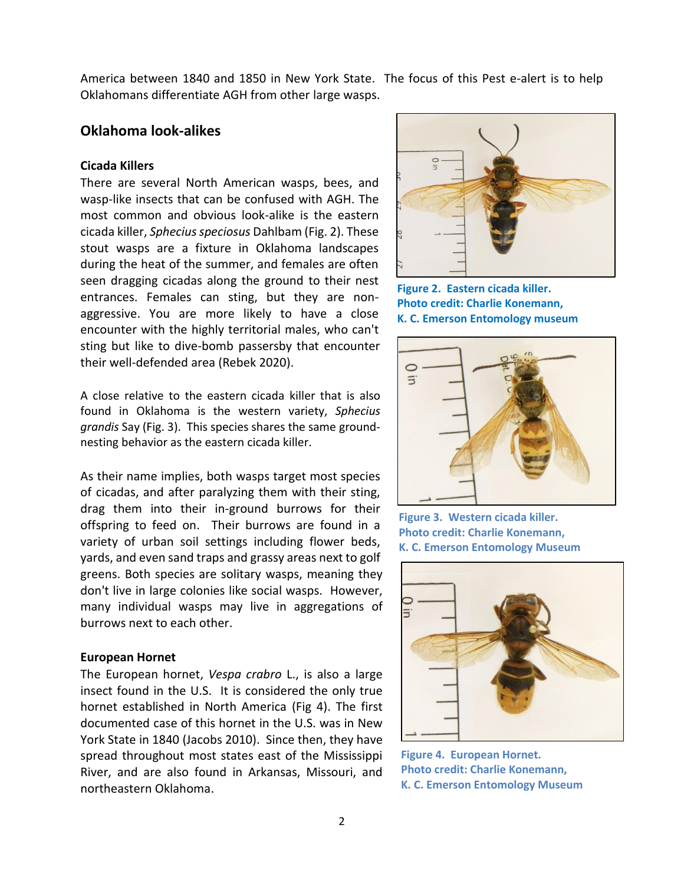America between 1840 and 1850 in New York State. The focus of this Pest e-alert is to help Oklahomans differentiate AGH from other large wasps.

## **Oklahoma look-alikes**

#### **Cicada Killers**

There are several North American wasps, bees, and wasp-like insects that can be confused with AGH. The most common and obvious look-alike is the eastern cicada killer, *Sphecius speciosus* Dahlbam (Fig. 2). These stout wasps are a fixture in Oklahoma landscapes during the heat of the summer, and females are often seen dragging cicadas along the ground to their nest entrances. Females can sting, but they are nonaggressive. You are more likely to have a close encounter with the highly territorial males, who can't sting but like to dive-bomb passersby that encounter their well-defended area (Rebek 2020).

A close relative to the eastern cicada killer that is also found in Oklahoma is the western variety, *Sphecius grandis* Say (Fig. 3). This species shares the same groundnesting behavior as the eastern cicada killer.

As their name implies, both wasps target most species of cicadas, and after paralyzing them with their sting, drag them into their in-ground burrows for their offspring to feed on. Their burrows are found in a variety of urban soil settings including flower beds, yards, and even sand traps and grassy areas next to golf greens. Both species are solitary wasps, meaning they don't live in large colonies like social wasps. However, many individual wasps may live in aggregations of burrows next to each other.

#### **European Hornet**

The European hornet, *Vespa crabro* L., is also a large insect found in the U.S. It is considered the only true hornet established in North America (Fig 4). The first documented case of this hornet in the U.S. was in New York State in 1840 (Jacobs 2010). Since then, they have spread throughout most states east of the Mississippi River, and are also found in Arkansas, Missouri, and northeastern Oklahoma.



**Figure 2. Eastern cicada killer. Photo credit: Charlie Konemann, K. C. Emerson Entomology museum**



**Figure 3. Western cicada killer. Photo credit: Charlie Konemann, K. C. Emerson Entomology Museum**



**Figure 4. European Hornet. Photo credit: Charlie Konemann, K. C. Emerson Entomology Museum**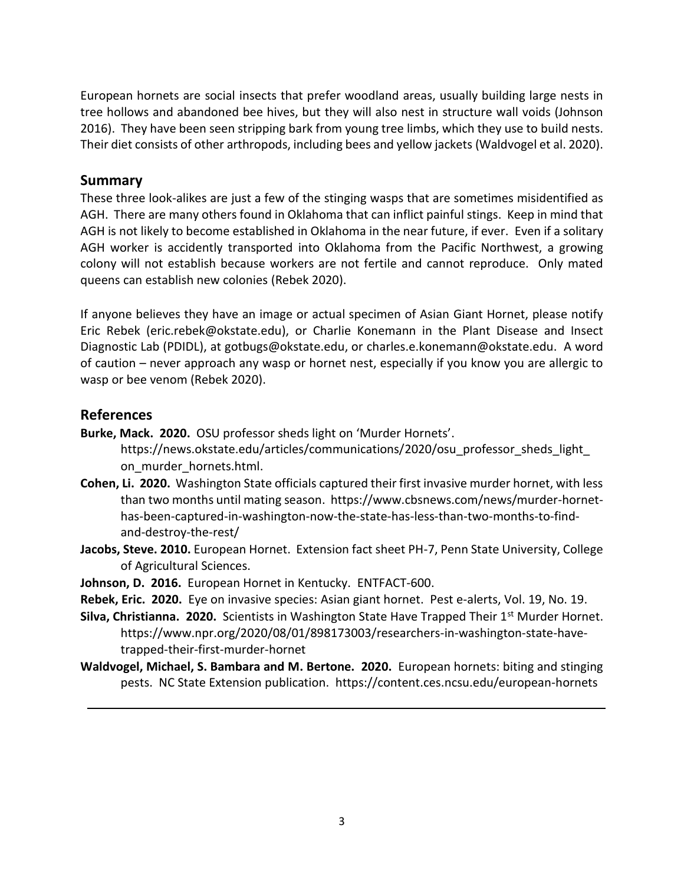European hornets are social insects that prefer woodland areas, usually building large nests in tree hollows and abandoned bee hives, but they will also nest in structure wall voids (Johnson 2016). They have been seen stripping bark from young tree limbs, which they use to build nests. Their diet consists of other arthropods, including bees and yellow jackets (Waldvogel et al. 2020).

### **Summary**

These three look-alikes are just a few of the stinging wasps that are sometimes misidentified as AGH. There are many others found in Oklahoma that can inflict painful stings. Keep in mind that AGH is not likely to become established in Oklahoma in the near future, if ever. Even if a solitary AGH worker is accidently transported into Oklahoma from the Pacific Northwest, a growing colony will not establish because workers are not fertile and cannot reproduce. Only mated queens can establish new colonies (Rebek 2020).

If anyone believes they have an image or actual specimen of Asian Giant Hornet, please notify Eric Rebek (eric.rebek@okstate.edu), or Charlie Konemann in the Plant Disease and Insect Diagnostic Lab (PDIDL), at gotbugs@okstate.edu, or charles.e.konemann@okstate.edu. A word of caution – never approach any wasp or hornet nest, especially if you know you are allergic to wasp or bee venom (Rebek 2020).

## **References**

- **Burke, Mack. 2020.** OSU professor sheds light on 'Murder Hornets'. https://news.okstate.edu/articles/communications/2020/osu\_professor\_sheds\_light\_ on murder hornets.html.
- **Cohen, Li. 2020.** Washington State officials captured their first invasive murder hornet, with less than two months until mating season. [https://www.cbsnews.com/news/murder-hornet](https://www.cbsnews.com/news/murder-hornet-has-been-captured-in-washington-now-the-state-has-less-than-two-months-to-find-and-destroy-the-rest/)[has-been-captured-in-washington-now-the-state-has-less-than-two-months-to-find](https://www.cbsnews.com/news/murder-hornet-has-been-captured-in-washington-now-the-state-has-less-than-two-months-to-find-and-destroy-the-rest/)[and-destroy-the-rest/](https://www.cbsnews.com/news/murder-hornet-has-been-captured-in-washington-now-the-state-has-less-than-two-months-to-find-and-destroy-the-rest/)
- **Jacobs, Steve. 2010.** European Hornet. Extension fact sheet PH-7, Penn State University, College of Agricultural Sciences.
- **Johnson, D. 2016.** European Hornet in Kentucky. ENTFACT-600.
- **Rebek, Eric. 2020.** Eye on invasive species: Asian giant hornet. Pest e-alerts, Vol. 19, No. 19.
- **Silva, Christianna. 2020.** Scientists in Washington State Have Trapped Their 1<sup>st</sup> Murder Hornet. [https://www.npr.org/2020/08/01/898173003/researchers-in-washington-state-have](https://www.npr.org/2020/08/01/898173003/researchers-in-washington-state-have-trapped-their-first-murder-hornet)[trapped-their-first-murder-hornet](https://www.npr.org/2020/08/01/898173003/researchers-in-washington-state-have-trapped-their-first-murder-hornet)
- **Waldvogel, Michael, S. Bambara and M. Bertone. 2020.** European hornets: biting and stinging pests. NC State Extension publication. https://content.ces.ncsu.edu/european-hornets